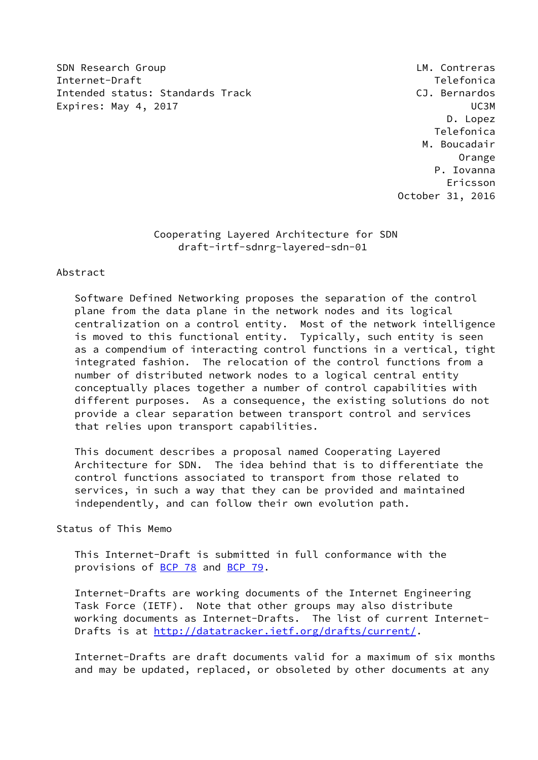SDN Research Group **LM.** Contreras Internet-Draft Telefonica Intended status: Standards Track CJ. Bernardos Expires: May 4, 2017 UC3M

 D. Lopez Telefonica M. Boucadair Orange P. Iovanna Ericsson October 31, 2016

# Cooperating Layered Architecture for SDN draft-irtf-sdnrg-layered-sdn-01

### Abstract

 Software Defined Networking proposes the separation of the control plane from the data plane in the network nodes and its logical centralization on a control entity. Most of the network intelligence is moved to this functional entity. Typically, such entity is seen as a compendium of interacting control functions in a vertical, tight integrated fashion. The relocation of the control functions from a number of distributed network nodes to a logical central entity conceptually places together a number of control capabilities with different purposes. As a consequence, the existing solutions do not provide a clear separation between transport control and services that relies upon transport capabilities.

 This document describes a proposal named Cooperating Layered Architecture for SDN. The idea behind that is to differentiate the control functions associated to transport from those related to services, in such a way that they can be provided and maintained independently, and can follow their own evolution path.

# Status of This Memo

 This Internet-Draft is submitted in full conformance with the provisions of [BCP 78](https://datatracker.ietf.org/doc/pdf/bcp78) and [BCP 79](https://datatracker.ietf.org/doc/pdf/bcp79).

 Internet-Drafts are working documents of the Internet Engineering Task Force (IETF). Note that other groups may also distribute working documents as Internet-Drafts. The list of current Internet- Drafts is at<http://datatracker.ietf.org/drafts/current/>.

 Internet-Drafts are draft documents valid for a maximum of six months and may be updated, replaced, or obsoleted by other documents at any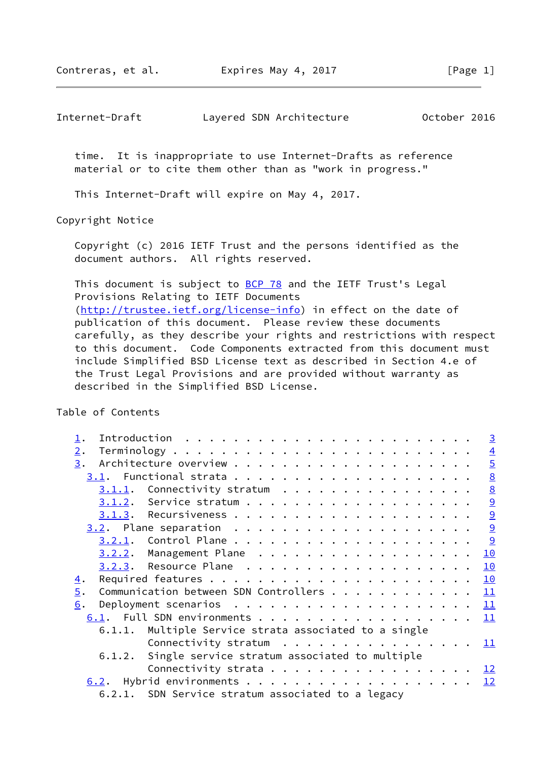Contreras, et al. Expires May 4, 2017 [Page 1]

Internet-Draft Layered SDN Architecture October 2016

 time. It is inappropriate to use Internet-Drafts as reference material or to cite them other than as "work in progress."

This Internet-Draft will expire on May 4, 2017.

Copyright Notice

 Copyright (c) 2016 IETF Trust and the persons identified as the document authors. All rights reserved.

This document is subject to **[BCP 78](https://datatracker.ietf.org/doc/pdf/bcp78)** and the IETF Trust's Legal Provisions Relating to IETF Documents [\(http://trustee.ietf.org/license-info](http://trustee.ietf.org/license-info)) in effect on the date of publication of this document. Please review these documents carefully, as they describe your rights and restrictions with respect to this document. Code Components extracted from this document must include Simplified BSD License text as described in Section 4.e of the Trust Legal Provisions and are provided without warranty as described in the Simplified BSD License.

Table of Contents

| $\mathbf{\underline{1}}$ .                                   | $\overline{3}$            |
|--------------------------------------------------------------|---------------------------|
| 2.                                                           |                           |
| 3.                                                           | $\frac{4}{5}$             |
|                                                              | $\underline{8}$           |
| $3.1.1$ . Connectivity stratum                               | $\frac{1}{9}$             |
|                                                              |                           |
|                                                              | $\frac{9}{2}$             |
|                                                              | $\frac{9}{2}$             |
|                                                              | $\overline{9}$            |
| $3.2.2.$ Management Plane                                    | 10                        |
|                                                              | 10                        |
| $\overline{4}$ .                                             | 10                        |
| Communication between SDN Controllers $\underline{11}$<br>5. |                           |
| 6.                                                           |                           |
| 6.1. Full SDN environments                                   | $\mathbf{\underline{11}}$ |
| 6.1.1. Multiple Service strata associated to a single        |                           |
| Connectivity stratum $\cdots$ 11                             |                           |
| Single service stratum associated to multiple<br>6.1.2.      |                           |
| Connectivity strata $\underline{12}$                         |                           |
|                                                              |                           |
| 6.2.1. SDN Service stratum associated to a legacy            |                           |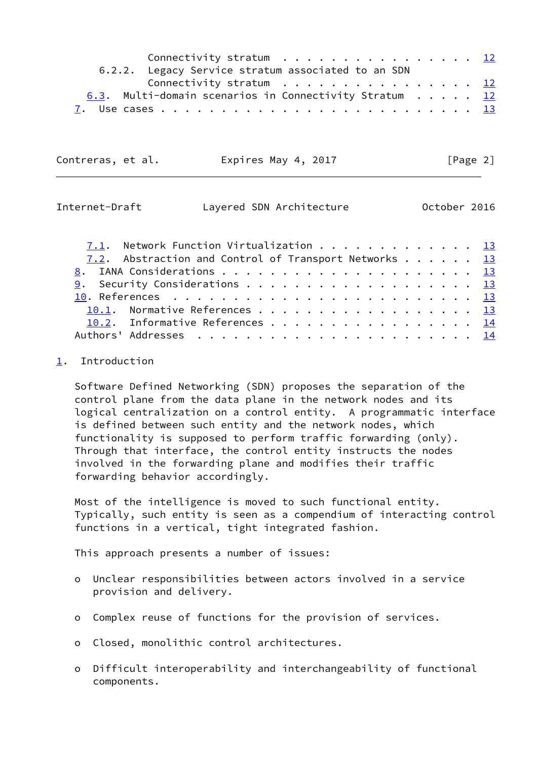| Connectivity stratum $\ldots$ 12                                       |  |  |  |
|------------------------------------------------------------------------|--|--|--|
| 6.2.2. Legacy Service stratum associated to an SDN                     |  |  |  |
| Connectivity stratum $\ldots \ldots \ldots \ldots \ldots \frac{12}{2}$ |  |  |  |
| 6.3. Multi-domain scenarios in Connectivity Stratum $\underline{12}$   |  |  |  |
|                                                                        |  |  |  |

Contreras, et al. Expires May 4, 2017 [Page 2]

<span id="page-2-1"></span>

| Internet-Draft |  | Layered SDN Architecture | October 2016 |  |
|----------------|--|--------------------------|--------------|--|
|                |  |                          |              |  |

| 7.1. Network Function Virtualization 13               |  |  |  |  |
|-------------------------------------------------------|--|--|--|--|
| 7.2. Abstraction and Control of Transport Networks 13 |  |  |  |  |
|                                                       |  |  |  |  |
|                                                       |  |  |  |  |
|                                                       |  |  |  |  |
| 10.1. Normative References 13                         |  |  |  |  |
| 10.2. Informative References 14                       |  |  |  |  |
|                                                       |  |  |  |  |

# <span id="page-2-0"></span>[1](#page-2-0). Introduction

 Software Defined Networking (SDN) proposes the separation of the control plane from the data plane in the network nodes and its logical centralization on a control entity. A programmatic interface is defined between such entity and the network nodes, which functionality is supposed to perform traffic forwarding (only). Through that interface, the control entity instructs the nodes involved in the forwarding plane and modifies their traffic forwarding behavior accordingly.

 Most of the intelligence is moved to such functional entity. Typically, such entity is seen as a compendium of interacting control functions in a vertical, tight integrated fashion.

This approach presents a number of issues:

- o Unclear responsibilities between actors involved in a service provision and delivery.
- o Complex reuse of functions for the provision of services.
- o Closed, monolithic control architectures.
- o Difficult interoperability and interchangeability of functional components.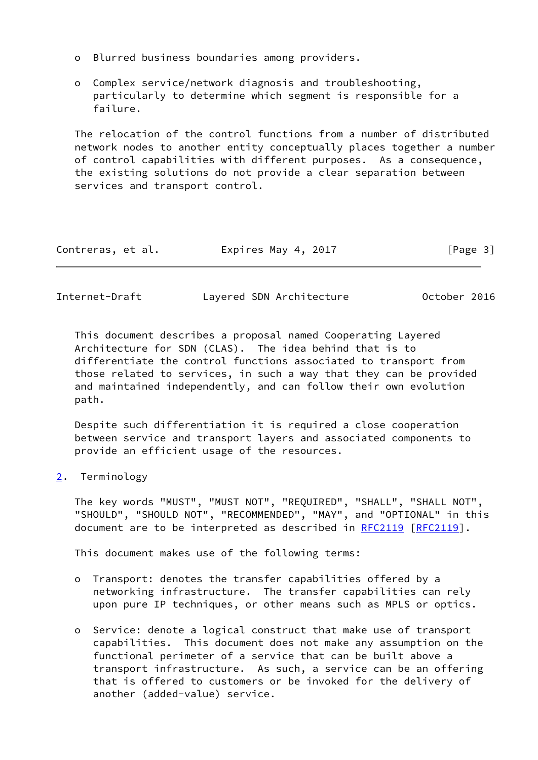- o Blurred business boundaries among providers.
- o Complex service/network diagnosis and troubleshooting, particularly to determine which segment is responsible for a failure.

 The relocation of the control functions from a number of distributed network nodes to another entity conceptually places together a number of control capabilities with different purposes. As a consequence, the existing solutions do not provide a clear separation between services and transport control.

| Contreras, et al. | Expires May 4, 2017 | [Page 3] |
|-------------------|---------------------|----------|
|-------------------|---------------------|----------|

<span id="page-3-1"></span>

| Internet-Draft |  | Layered SDN Architecture | October 2016 |  |
|----------------|--|--------------------------|--------------|--|
|                |  |                          |              |  |

 This document describes a proposal named Cooperating Layered Architecture for SDN (CLAS). The idea behind that is to differentiate the control functions associated to transport from those related to services, in such a way that they can be provided and maintained independently, and can follow their own evolution path.

 Despite such differentiation it is required a close cooperation between service and transport layers and associated components to provide an efficient usage of the resources.

<span id="page-3-0"></span>[2](#page-3-0). Terminology

 The key words "MUST", "MUST NOT", "REQUIRED", "SHALL", "SHALL NOT", "SHOULD", "SHOULD NOT", "RECOMMENDED", "MAY", and "OPTIONAL" in this document are to be interpreted as described in [RFC2119](https://datatracker.ietf.org/doc/pdf/rfc2119) [\[RFC2119](https://datatracker.ietf.org/doc/pdf/rfc2119)].

This document makes use of the following terms:

- o Transport: denotes the transfer capabilities offered by a networking infrastructure. The transfer capabilities can rely upon pure IP techniques, or other means such as MPLS or optics.
- o Service: denote a logical construct that make use of transport capabilities. This document does not make any assumption on the functional perimeter of a service that can be built above a transport infrastructure. As such, a service can be an offering that is offered to customers or be invoked for the delivery of another (added-value) service.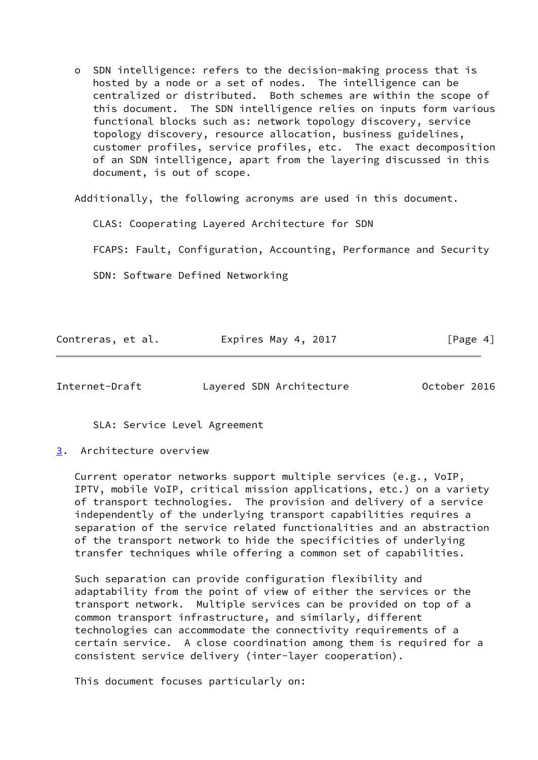o SDN intelligence: refers to the decision-making process that is hosted by a node or a set of nodes. The intelligence can be centralized or distributed. Both schemes are within the scope of this document. The SDN intelligence relies on inputs form various functional blocks such as: network topology discovery, service topology discovery, resource allocation, business guidelines, customer profiles, service profiles, etc. The exact decomposition of an SDN intelligence, apart from the layering discussed in this document, is out of scope.

Additionally, the following acronyms are used in this document.

CLAS: Cooperating Layered Architecture for SDN

FCAPS: Fault, Configuration, Accounting, Performance and Security

SDN: Software Defined Networking

| Contreras, et al. | Expires May 4, 2017 | [Page 4] |
|-------------------|---------------------|----------|
|                   |                     |          |

<span id="page-4-1"></span>Internet-Draft Layered SDN Architecture October 2016

SLA: Service Level Agreement

<span id="page-4-0"></span>[3](#page-4-0). Architecture overview

 Current operator networks support multiple services (e.g., VoIP, IPTV, mobile VoIP, critical mission applications, etc.) on a variety of transport technologies. The provision and delivery of a service independently of the underlying transport capabilities requires a separation of the service related functionalities and an abstraction of the transport network to hide the specificities of underlying transfer techniques while offering a common set of capabilities.

 Such separation can provide configuration flexibility and adaptability from the point of view of either the services or the transport network. Multiple services can be provided on top of a common transport infrastructure, and similarly, different technologies can accommodate the connectivity requirements of a certain service. A close coordination among them is required for a consistent service delivery (inter-layer cooperation).

This document focuses particularly on: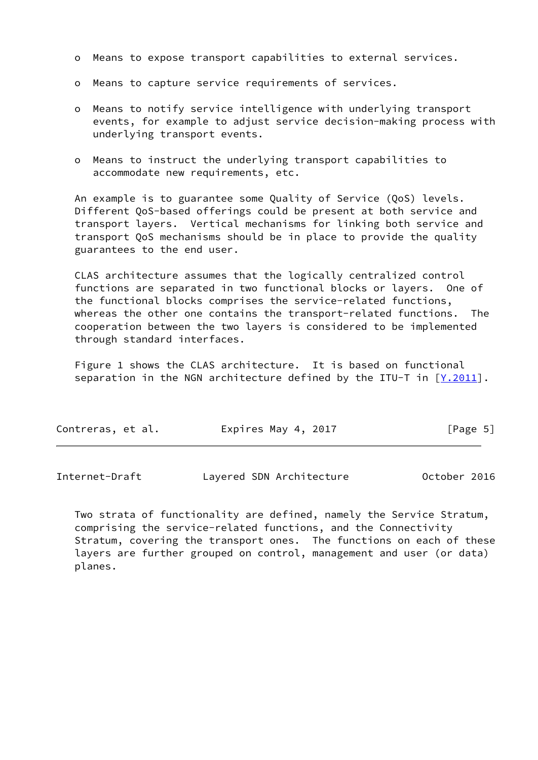- o Means to expose transport capabilities to external services.
- o Means to capture service requirements of services.
- o Means to notify service intelligence with underlying transport events, for example to adjust service decision-making process with underlying transport events.
- o Means to instruct the underlying transport capabilities to accommodate new requirements, etc.

 An example is to guarantee some Quality of Service (QoS) levels. Different QoS-based offerings could be present at both service and transport layers. Vertical mechanisms for linking both service and transport QoS mechanisms should be in place to provide the quality guarantees to the end user.

 CLAS architecture assumes that the logically centralized control functions are separated in two functional blocks or layers. One of the functional blocks comprises the service-related functions, whereas the other one contains the transport-related functions. The cooperation between the two layers is considered to be implemented through standard interfaces.

 Figure 1 shows the CLAS architecture. It is based on functional separation in the NGN architecture defined by the ITU-T in  $[Y.2011]$  $[Y.2011]$  $[Y.2011]$ .

| Contreras, et al. | Expires May 4, 2017 | [Page 5] |
|-------------------|---------------------|----------|
|                   |                     |          |

 Two strata of functionality are defined, namely the Service Stratum, comprising the service-related functions, and the Connectivity Stratum, covering the transport ones. The functions on each of these layers are further grouped on control, management and user (or data) planes.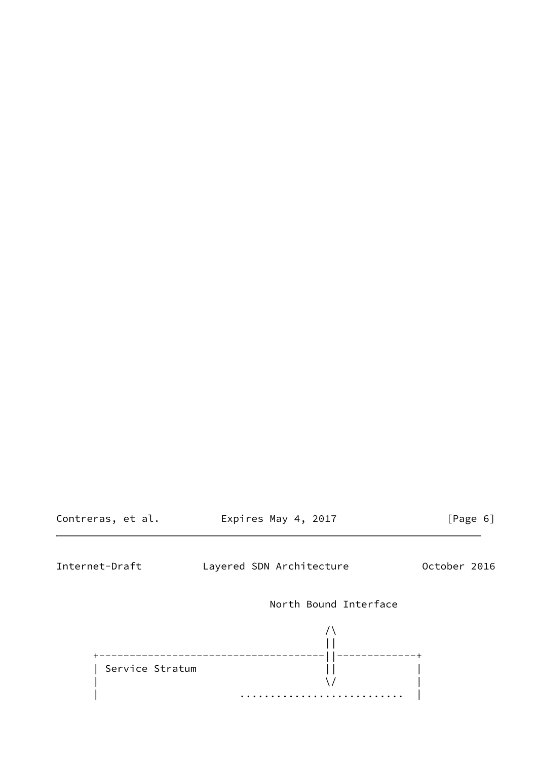Contreras, et al. Expires May 4, 2017 [Page 6]

Internet-Draft Layered SDN Architecture October 2016

North Bound Interface

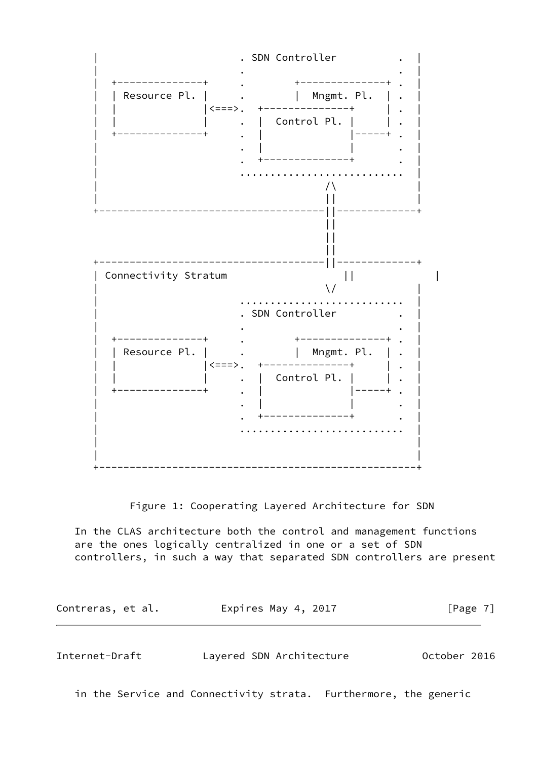

Figure 1: Cooperating Layered Architecture for SDN

 In the CLAS architecture both the control and management functions are the ones logically centralized in one or a set of SDN controllers, in such a way that separated SDN controllers are present

Contreras, et al. 
Expires May 4, 2017  $[Page 7]$ 

<span id="page-7-0"></span>Internet-Draft Layered SDN Architecture October 2016

in the Service and Connectivity strata. Furthermore, the generic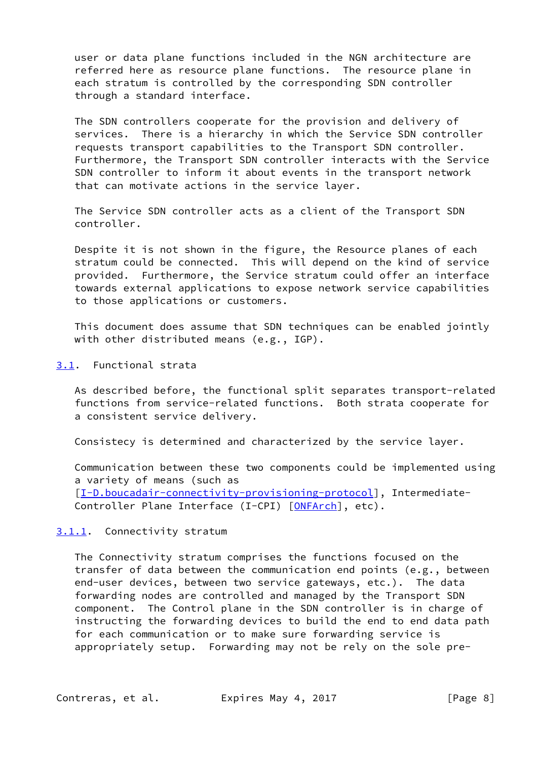user or data plane functions included in the NGN architecture are referred here as resource plane functions. The resource plane in each stratum is controlled by the corresponding SDN controller through a standard interface.

 The SDN controllers cooperate for the provision and delivery of services. There is a hierarchy in which the Service SDN controller requests transport capabilities to the Transport SDN controller. Furthermore, the Transport SDN controller interacts with the Service SDN controller to inform it about events in the transport network that can motivate actions in the service layer.

 The Service SDN controller acts as a client of the Transport SDN controller.

 Despite it is not shown in the figure, the Resource planes of each stratum could be connected. This will depend on the kind of service provided. Furthermore, the Service stratum could offer an interface towards external applications to expose network service capabilities to those applications or customers.

 This document does assume that SDN techniques can be enabled jointly with other distributed means (e.g., IGP).

<span id="page-8-0"></span>[3.1](#page-8-0). Functional strata

 As described before, the functional split separates transport-related functions from service-related functions. Both strata cooperate for a consistent service delivery.

Consistecy is determined and characterized by the service layer.

 Communication between these two components could be implemented using a variety of means (such as [\[I-D.boucadair-connectivity-provisioning-protocol](#page-14-8)], Intermediate- Controller Plane Interface (I-CPI) [[ONFArch\]](#page-15-0), etc).

# <span id="page-8-1"></span>[3.1.1](#page-8-1). Connectivity stratum

 The Connectivity stratum comprises the functions focused on the transfer of data between the communication end points (e.g., between end-user devices, between two service gateways, etc.). The data forwarding nodes are controlled and managed by the Transport SDN component. The Control plane in the SDN controller is in charge of instructing the forwarding devices to build the end to end data path for each communication or to make sure forwarding service is appropriately setup. Forwarding may not be rely on the sole pre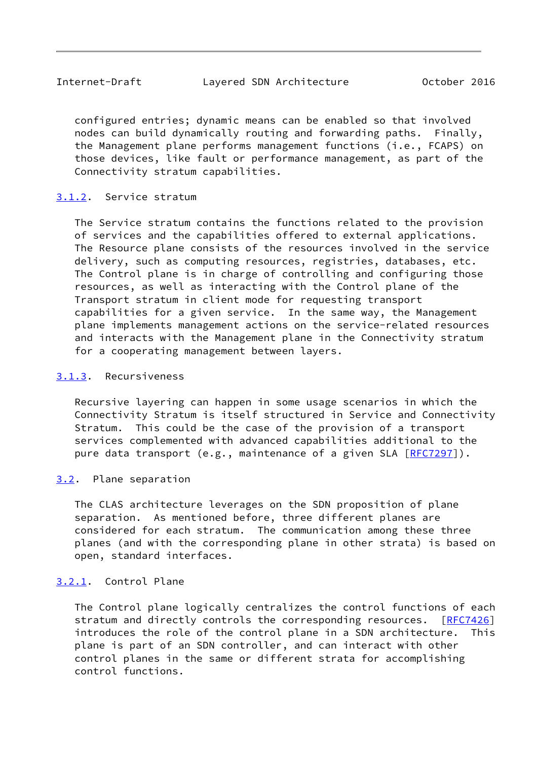<span id="page-9-1"></span> configured entries; dynamic means can be enabled so that involved nodes can build dynamically routing and forwarding paths. Finally, the Management plane performs management functions (i.e., FCAPS) on those devices, like fault or performance management, as part of the Connectivity stratum capabilities.

### <span id="page-9-0"></span>[3.1.2](#page-9-0). Service stratum

 The Service stratum contains the functions related to the provision of services and the capabilities offered to external applications. The Resource plane consists of the resources involved in the service delivery, such as computing resources, registries, databases, etc. The Control plane is in charge of controlling and configuring those resources, as well as interacting with the Control plane of the Transport stratum in client mode for requesting transport capabilities for a given service. In the same way, the Management plane implements management actions on the service-related resources and interacts with the Management plane in the Connectivity stratum for a cooperating management between layers.

# <span id="page-9-2"></span>[3.1.3](#page-9-2). Recursiveness

 Recursive layering can happen in some usage scenarios in which the Connectivity Stratum is itself structured in Service and Connectivity Stratum. This could be the case of the provision of a transport services complemented with advanced capabilities additional to the pure data transport (e.g., maintenance of a given SLA [[RFC7297](https://datatracker.ietf.org/doc/pdf/rfc7297)]).

# <span id="page-9-3"></span>[3.2](#page-9-3). Plane separation

 The CLAS architecture leverages on the SDN proposition of plane separation. As mentioned before, three different planes are considered for each stratum. The communication among these three planes (and with the corresponding plane in other strata) is based on open, standard interfaces.

## <span id="page-9-4"></span>[3.2.1](#page-9-4). Control Plane

 The Control plane logically centralizes the control functions of each stratum and directly controls the corresponding resources. [\[RFC7426](https://datatracker.ietf.org/doc/pdf/rfc7426)] introduces the role of the control plane in a SDN architecture. This plane is part of an SDN controller, and can interact with other control planes in the same or different strata for accomplishing control functions.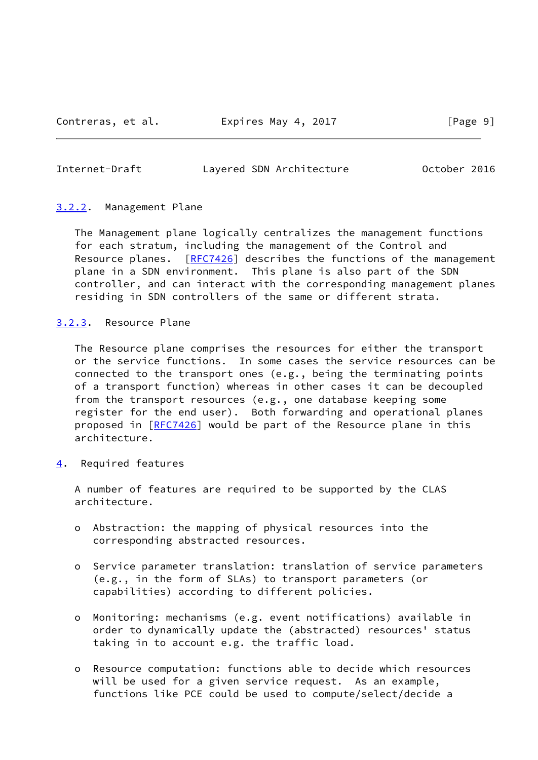<span id="page-10-1"></span>Internet-Draft Layered SDN Architecture October 2016

### <span id="page-10-0"></span>[3.2.2](#page-10-0). Management Plane

 The Management plane logically centralizes the management functions for each stratum, including the management of the Control and Resource planes. [[RFC7426](https://datatracker.ietf.org/doc/pdf/rfc7426)] describes the functions of the management plane in a SDN environment. This plane is also part of the SDN controller, and can interact with the corresponding management planes residing in SDN controllers of the same or different strata.

<span id="page-10-2"></span>[3.2.3](#page-10-2). Resource Plane

 The Resource plane comprises the resources for either the transport or the service functions. In some cases the service resources can be connected to the transport ones (e.g., being the terminating points of a transport function) whereas in other cases it can be decoupled from the transport resources (e.g., one database keeping some register for the end user). Both forwarding and operational planes proposed in [\[RFC7426](https://datatracker.ietf.org/doc/pdf/rfc7426)] would be part of the Resource plane in this architecture.

<span id="page-10-3"></span>[4](#page-10-3). Required features

 A number of features are required to be supported by the CLAS architecture.

- o Abstraction: the mapping of physical resources into the corresponding abstracted resources.
- o Service parameter translation: translation of service parameters (e.g., in the form of SLAs) to transport parameters (or capabilities) according to different policies.
- o Monitoring: mechanisms (e.g. event notifications) available in order to dynamically update the (abstracted) resources' status taking in to account e.g. the traffic load.
- o Resource computation: functions able to decide which resources will be used for a given service request. As an example, functions like PCE could be used to compute/select/decide a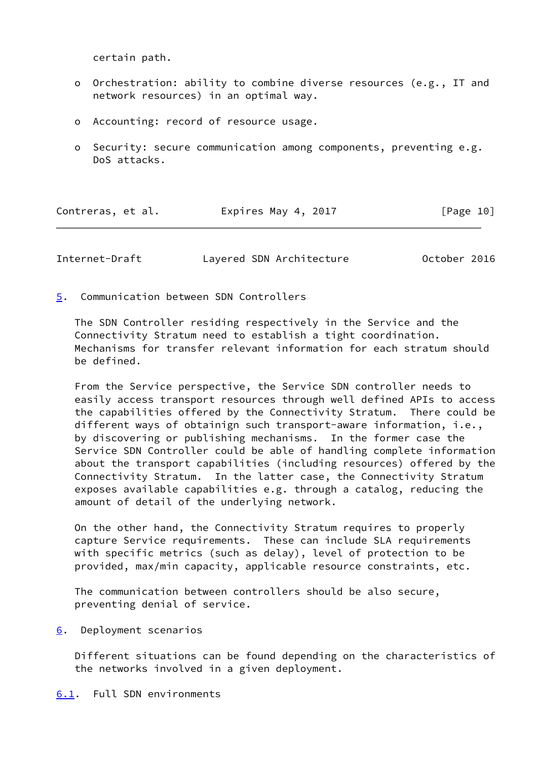certain path.

- o Orchestration: ability to combine diverse resources (e.g., IT and network resources) in an optimal way.
- o Accounting: record of resource usage.
- o Security: secure communication among components, preventing e.g. DoS attacks.

| Contreras, et al. | Expires May 4, 2017 | [Page 10] |  |
|-------------------|---------------------|-----------|--|
|-------------------|---------------------|-----------|--|

<span id="page-11-1"></span>Internet-Draft Layered SDN Architecture October 2016

<span id="page-11-0"></span>[5](#page-11-0). Communication between SDN Controllers

 The SDN Controller residing respectively in the Service and the Connectivity Stratum need to establish a tight coordination. Mechanisms for transfer relevant information for each stratum should be defined.

 From the Service perspective, the Service SDN controller needs to easily access transport resources through well defined APIs to access the capabilities offered by the Connectivity Stratum. There could be different ways of obtainign such transport-aware information, i.e., by discovering or publishing mechanisms. In the former case the Service SDN Controller could be able of handling complete information about the transport capabilities (including resources) offered by the Connectivity Stratum. In the latter case, the Connectivity Stratum exposes available capabilities e.g. through a catalog, reducing the amount of detail of the underlying network.

 On the other hand, the Connectivity Stratum requires to properly capture Service requirements. These can include SLA requirements with specific metrics (such as delay), level of protection to be provided, max/min capacity, applicable resource constraints, etc.

 The communication between controllers should be also secure, preventing denial of service.

<span id="page-11-2"></span>[6](#page-11-2). Deployment scenarios

 Different situations can be found depending on the characteristics of the networks involved in a given deployment.

<span id="page-11-3"></span>[6.1](#page-11-3). Full SDN environments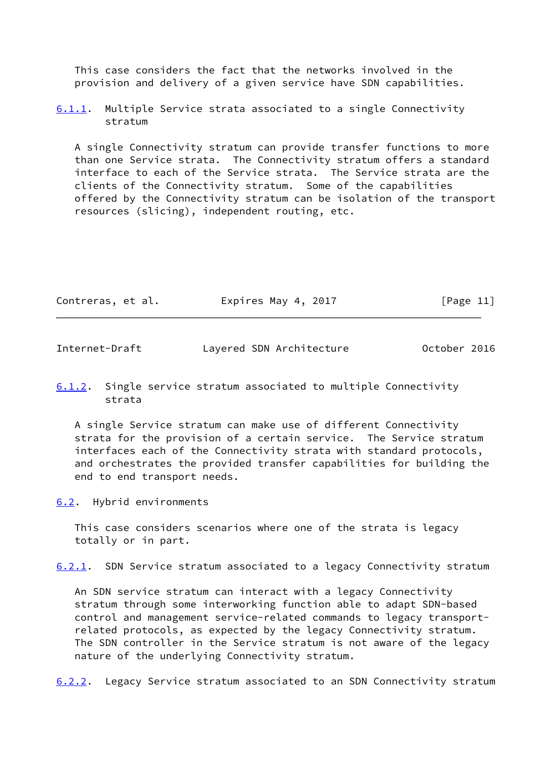This case considers the fact that the networks involved in the provision and delivery of a given service have SDN capabilities.

<span id="page-12-2"></span>[6.1.1](#page-12-2). Multiple Service strata associated to a single Connectivity stratum

 A single Connectivity stratum can provide transfer functions to more than one Service strata. The Connectivity stratum offers a standard interface to each of the Service strata. The Service strata are the clients of the Connectivity stratum. Some of the capabilities offered by the Connectivity stratum can be isolation of the transport resources (slicing), independent routing, etc.

| Contreras, et al. | Expires May 4, 2017 | [Page 11] |
|-------------------|---------------------|-----------|
|-------------------|---------------------|-----------|

<span id="page-12-0"></span>Internet-Draft Layered SDN Architecture October 2016

# <span id="page-12-3"></span>[6.1.2](#page-12-3). Single service stratum associated to multiple Connectivity strata

 A single Service stratum can make use of different Connectivity strata for the provision of a certain service. The Service stratum interfaces each of the Connectivity strata with standard protocols, and orchestrates the provided transfer capabilities for building the end to end transport needs.

<span id="page-12-1"></span>[6.2](#page-12-1). Hybrid environments

 This case considers scenarios where one of the strata is legacy totally or in part.

<span id="page-12-4"></span>[6.2.1](#page-12-4). SDN Service stratum associated to a legacy Connectivity stratum

 An SDN service stratum can interact with a legacy Connectivity stratum through some interworking function able to adapt SDN-based control and management service-related commands to legacy transport related protocols, as expected by the legacy Connectivity stratum. The SDN controller in the Service stratum is not aware of the legacy nature of the underlying Connectivity stratum.

<span id="page-12-5"></span>[6.2.2](#page-12-5). Legacy Service stratum associated to an SDN Connectivity stratum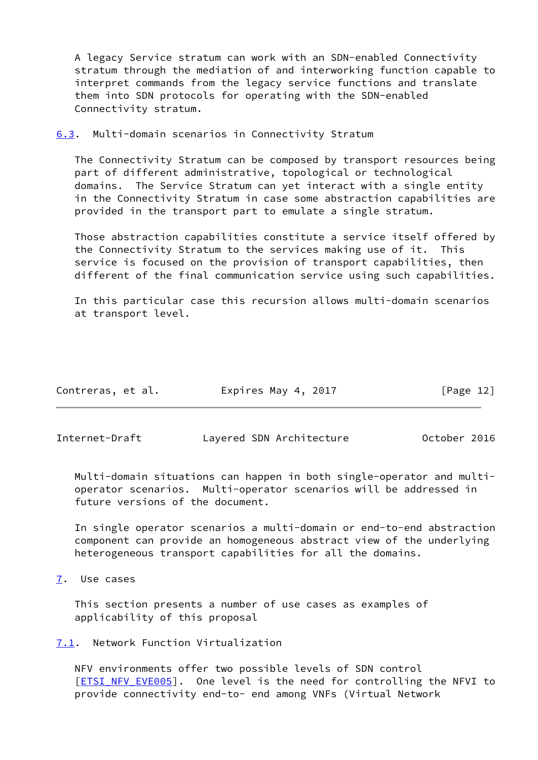A legacy Service stratum can work with an SDN-enabled Connectivity stratum through the mediation of and interworking function capable to interpret commands from the legacy service functions and translate them into SDN protocols for operating with the SDN-enabled Connectivity stratum.

<span id="page-13-0"></span>[6.3](#page-13-0). Multi-domain scenarios in Connectivity Stratum

 The Connectivity Stratum can be composed by transport resources being part of different administrative, topological or technological domains. The Service Stratum can yet interact with a single entity in the Connectivity Stratum in case some abstraction capabilities are provided in the transport part to emulate a single stratum.

 Those abstraction capabilities constitute a service itself offered by the Connectivity Stratum to the services making use of it. This service is focused on the provision of transport capabilities, then different of the final communication service using such capabilities.

 In this particular case this recursion allows multi-domain scenarios at transport level.

| Contreras, et al. | Expires May 4, 2017 | [Page 12] |
|-------------------|---------------------|-----------|
|-------------------|---------------------|-----------|

<span id="page-13-2"></span>Internet-Draft Layered SDN Architecture October 2016

 Multi-domain situations can happen in both single-operator and multi operator scenarios. Multi-operator scenarios will be addressed in future versions of the document.

 In single operator scenarios a multi-domain or end-to-end abstraction component can provide an homogeneous abstract view of the underlying heterogeneous transport capabilities for all the domains.

<span id="page-13-1"></span>[7](#page-13-1). Use cases

 This section presents a number of use cases as examples of applicability of this proposal

<span id="page-13-3"></span>[7.1](#page-13-3). Network Function Virtualization

 NFV environments offer two possible levels of SDN control [\[ETSI\\_NFV\\_EVE005](#page-14-9)]. One level is the need for controlling the NFVI to provide connectivity end-to- end among VNFs (Virtual Network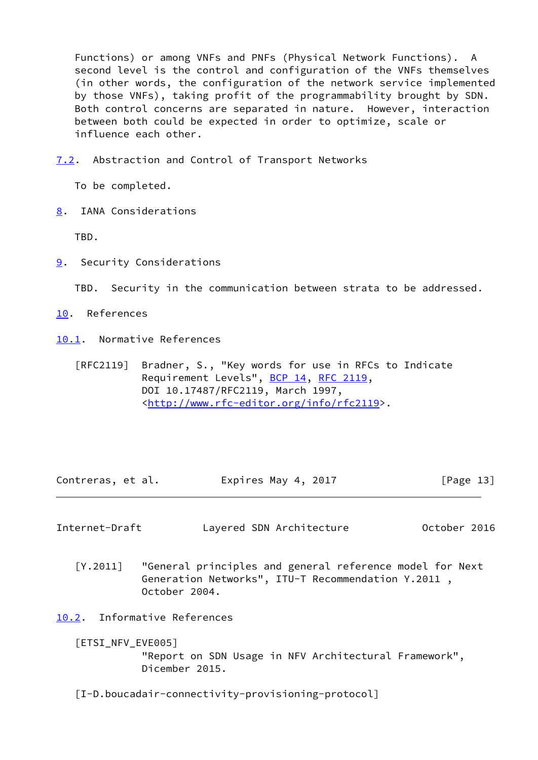Functions) or among VNFs and PNFs (Physical Network Functions). A second level is the control and configuration of the VNFs themselves (in other words, the configuration of the network service implemented by those VNFs), taking profit of the programmability brought by SDN. Both control concerns are separated in nature. However, interaction between both could be expected in order to optimize, scale or influence each other.

<span id="page-14-0"></span>[7.2](#page-14-0). Abstraction and Control of Transport Networks

To be completed.

<span id="page-14-1"></span>[8](#page-14-1). IANA Considerations

TBD.

<span id="page-14-2"></span>[9](#page-14-2). Security Considerations

TBD. Security in the communication between strata to be addressed.

- <span id="page-14-3"></span>[10.](#page-14-3) References
- <span id="page-14-4"></span>[10.1](#page-14-4). Normative References
	- [RFC2119] Bradner, S., "Key words for use in RFCs to Indicate Requirement Levels", [BCP 14](https://datatracker.ietf.org/doc/pdf/bcp14), [RFC 2119](https://datatracker.ietf.org/doc/pdf/rfc2119), DOI 10.17487/RFC2119, March 1997, <<http://www.rfc-editor.org/info/rfc2119>>.

Contreras, et al. **Expires May 4, 2017**[Page 13]

<span id="page-14-6"></span>Internet-Draft Layered SDN Architecture October 2016

<span id="page-14-7"></span> [Y.2011] "General principles and general reference model for Next Generation Networks", ITU-T Recommendation Y.2011 , October 2004.

<span id="page-14-5"></span>[10.2](#page-14-5). Informative References

<span id="page-14-9"></span>[ETSI\_NFV\_EVE005]

 "Report on SDN Usage in NFV Architectural Framework", Dicember 2015.

<span id="page-14-8"></span>[I-D.boucadair-connectivity-provisioning-protocol]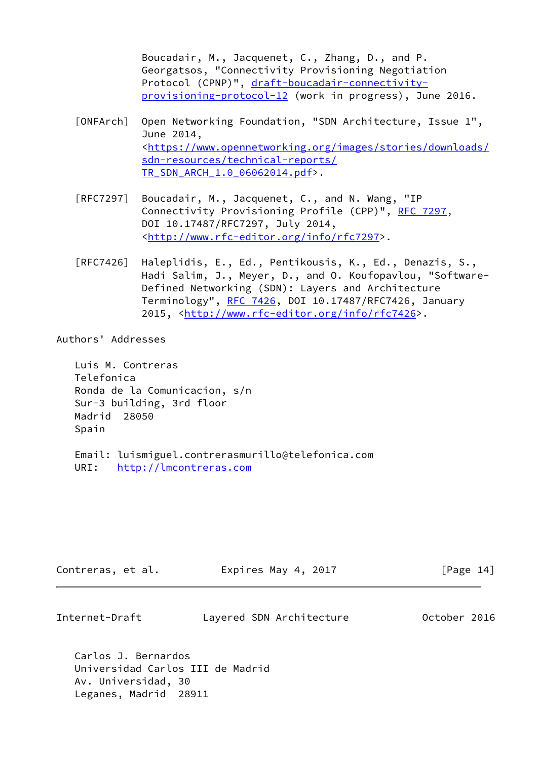Boucadair, M., Jacquenet, C., Zhang, D., and P. Georgatsos, "Connectivity Provisioning Negotiation Protocol (CPNP)", [draft-boucadair-connectivity](https://datatracker.ietf.org/doc/pdf/draft-boucadair-connectivity-provisioning-protocol-12) [provisioning-protocol-12](https://datatracker.ietf.org/doc/pdf/draft-boucadair-connectivity-provisioning-protocol-12) (work in progress), June 2016.

- <span id="page-15-0"></span> [ONFArch] Open Networking Foundation, "SDN Architecture, Issue 1", June 2014, <[https://www.opennetworking.org/images/stories/downloads/](https://www.opennetworking.org/images/stories/downloads/sdn-resources/technical-reports/TR_SDN_ARCH_1.0_06062014.pdf) [sdn-resources/technical-reports/](https://www.opennetworking.org/images/stories/downloads/sdn-resources/technical-reports/TR_SDN_ARCH_1.0_06062014.pdf) [TR\\_SDN\\_ARCH\\_1.0\\_06062014.pdf>](https://www.opennetworking.org/images/stories/downloads/sdn-resources/technical-reports/TR_SDN_ARCH_1.0_06062014.pdf).
- [RFC7297] Boucadair, M., Jacquenet, C., and N. Wang, "IP Connectivity Provisioning Profile (CPP)", [RFC 7297](https://datatracker.ietf.org/doc/pdf/rfc7297), DOI 10.17487/RFC7297, July 2014, <<http://www.rfc-editor.org/info/rfc7297>>.
- [RFC7426] Haleplidis, E., Ed., Pentikousis, K., Ed., Denazis, S., Hadi Salim, J., Meyer, D., and O. Koufopavlou, "Software- Defined Networking (SDN): Layers and Architecture Terminology", [RFC 7426](https://datatracker.ietf.org/doc/pdf/rfc7426), DOI 10.17487/RFC7426, January 2015, [<http://www.rfc-editor.org/info/rfc7426](http://www.rfc-editor.org/info/rfc7426)>.

Authors' Addresses

 Luis M. Contreras Telefonica Ronda de la Comunicacion, s/n Sur-3 building, 3rd floor Madrid 28050 Spain

 Email: luismiguel.contrerasmurillo@telefonica.com URI: <http://lmcontreras.com>

| Contreras, et al. | Expires May 4, 2017 | [Page 14] |
|-------------------|---------------------|-----------|
|                   |                     |           |

 Carlos J. Bernardos Universidad Carlos III de Madrid Av. Universidad, 30 Leganes, Madrid 28911